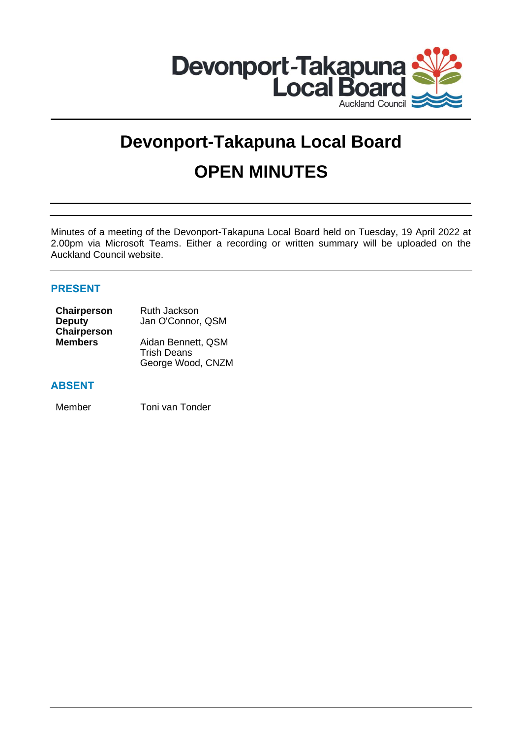

# **Devonport-Takapuna Local Board OPEN MINUTES**

Minutes of a meeting of the Devonport-Takapuna Local Board held on Tuesday, 19 April 2022 at 2.00pm via Microsoft Teams. Either a recording or written summary will be uploaded on the Auckland Council website.

# **PRESENT**

| Chairperson    | Ruth Jackson       |
|----------------|--------------------|
| <b>Deputy</b>  | Jan O'Connor, QSM  |
| Chairperson    |                    |
| <b>Members</b> | Aidan Bennett, QSM |
|                | <b>Trish Deans</b> |
|                | George Wood, CNZM  |

# **ABSENT**

Member Toni van Tonder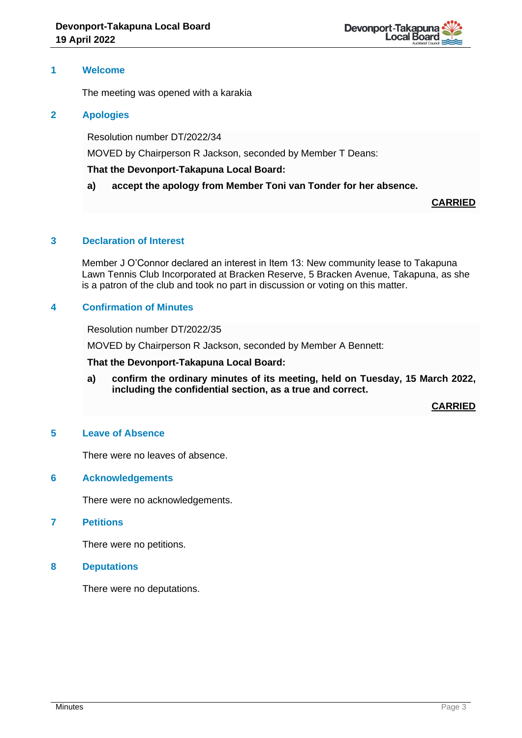# **1 Welcome**

The meeting was opened with a karakia

# **2 Apologies**

Resolution number DT/2022/34

MOVED by Chairperson R Jackson, seconded by Member T Deans:

# **That the Devonport-Takapuna Local Board:**

**a) accept the apology from Member Toni van Tonder for her absence.**

**CARRIED**

# **3 Declaration of Interest**

Member J O'Connor declared an interest in Item 13: New community lease to Takapuna Lawn Tennis Club Incorporated at Bracken Reserve, 5 Bracken Avenue, Takapuna, as she is a patron of the club and took no part in discussion or voting on this matter.

# **4 Confirmation of Minutes**

Resolution number DT/2022/35

MOVED by Chairperson R Jackson, seconded by Member A Bennett:

**That the Devonport-Takapuna Local Board:**

**a) confirm the ordinary minutes of its meeting, held on Tuesday, 15 March 2022, including the confidential section, as a true and correct.**

**CARRIED**

## **5 Leave of Absence**

There were no leaves of absence.

## **6 Acknowledgements**

There were no acknowledgements.

## **7 Petitions**

There were no petitions.

## **8 Deputations**

There were no deputations.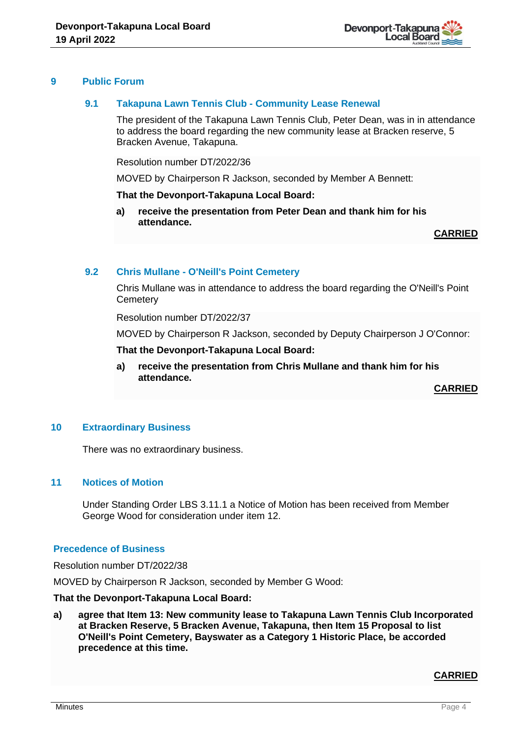

# **9 Public Forum**

# **9.1 Takapuna Lawn Tennis Club - Community Lease Renewal**

The president of the Takapuna Lawn Tennis Club, Peter Dean, was in in attendance to address the board regarding the new community lease at Bracken reserve, 5 Bracken Avenue, Takapuna.

Resolution number DT/2022/36

MOVED by Chairperson R Jackson, seconded by Member A Bennett:

## **That the Devonport-Takapuna Local Board:**

**a) receive the presentation from Peter Dean and thank him for his attendance.** 

**CARRIED**

# **9.2 Chris Mullane - O'Neill's Point Cemetery**

Chris Mullane was in attendance to address the board regarding the O'Neill's Point **Cemetery** 

Resolution number DT/2022/37

MOVED by Chairperson R Jackson, seconded by Deputy Chairperson J O'Connor:

**That the Devonport-Takapuna Local Board:**

**a) receive the presentation from Chris Mullane and thank him for his attendance.**

**CARRIED**

# **10 Extraordinary Business**

There was no extraordinary business.

## **11 Notices of Motion**

Under Standing Order LBS 3.11.1 a Notice of Motion has been received from Member George Wood for consideration under item 12.

#### **Precedence of Business**

Resolution number DT/2022/38

MOVED by Chairperson R Jackson, seconded by Member G Wood:

## **That the Devonport-Takapuna Local Board:**

**a) agree that Item 13: New community lease to Takapuna Lawn Tennis Club Incorporated at Bracken Reserve, 5 Bracken Avenue, Takapuna, then Item 15 Proposal to list O'Neill's Point Cemetery, Bayswater as a Category 1 Historic Place, be accorded precedence at this time.**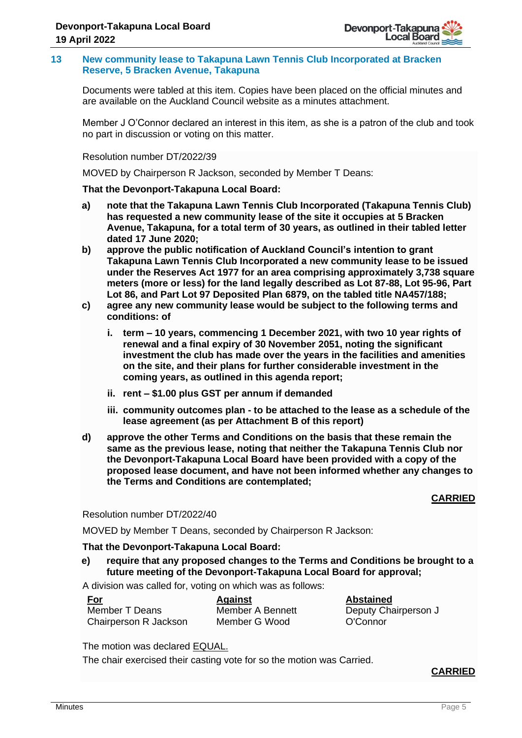## **13 New community lease to Takapuna Lawn Tennis Club Incorporated at Bracken Reserve, 5 Bracken Avenue, Takapuna**

Documents were tabled at this item. Copies have been placed on the official minutes and are available on the Auckland Council website as a minutes attachment.

Member J O'Connor declared an interest in this item, as she is a patron of the club and took no part in discussion or voting on this matter.

Resolution number DT/2022/39

MOVED by Chairperson R Jackson, seconded by Member T Deans:

# **That the Devonport-Takapuna Local Board:**

- **a) note that the Takapuna Lawn Tennis Club Incorporated (Takapuna Tennis Club) has requested a new community lease of the site it occupies at 5 Bracken Avenue, Takapuna, for a total term of 30 years, as outlined in their tabled letter dated 17 June 2020;**
- **b) approve the public notification of Auckland Council's intention to grant Takapuna Lawn Tennis Club Incorporated a new community lease to be issued under the Reserves Act 1977 for an area comprising approximately 3,738 square meters (more or less) for the land legally described as Lot 87-88, Lot 95-96, Part Lot 86, and Part Lot 97 Deposited Plan 6879, on the tabled title NA457/188;**
- **c) agree any new community lease would be subject to the following terms and conditions: of** 
	- **i. term – 10 years, commencing 1 December 2021, with two 10 year rights of renewal and a final expiry of 30 November 2051, noting the significant investment the club has made over the years in the facilities and amenities on the site, and their plans for further considerable investment in the coming years, as outlined in this agenda report;**
	- **ii. rent – \$1.00 plus GST per annum if demanded**
	- **iii. community outcomes plan - to be attached to the lease as a schedule of the lease agreement (as per Attachment B of this report)**
- **d) approve the other Terms and Conditions on the basis that these remain the same as the previous lease, noting that neither the Takapuna Tennis Club nor the Devonport-Takapuna Local Board have been provided with a copy of the proposed lease document, and have not been informed whether any changes to the Terms and Conditions are contemplated;**

# **CARRIED**

Resolution number DT/2022/40

MOVED by Member T Deans, seconded by Chairperson R Jackson:

## **That the Devonport-Takapuna Local Board:**

**e) require that any proposed changes to the Terms and Conditions be brought to a future meeting of the Devonport-Takapuna Local Board for approval;**

> **Bennett Mood**

A division was called for, voting on which was as follows:

| <b>For</b>            | <b>Against</b> |
|-----------------------|----------------|
| Member T Deans        | Member A       |
| Chairperson R Jackson | Member G       |

**Abstained** Deputy Chairperson J O'Connor

The motion was declared EQUAL.

The chair exercised their casting vote for so the motion was Carried.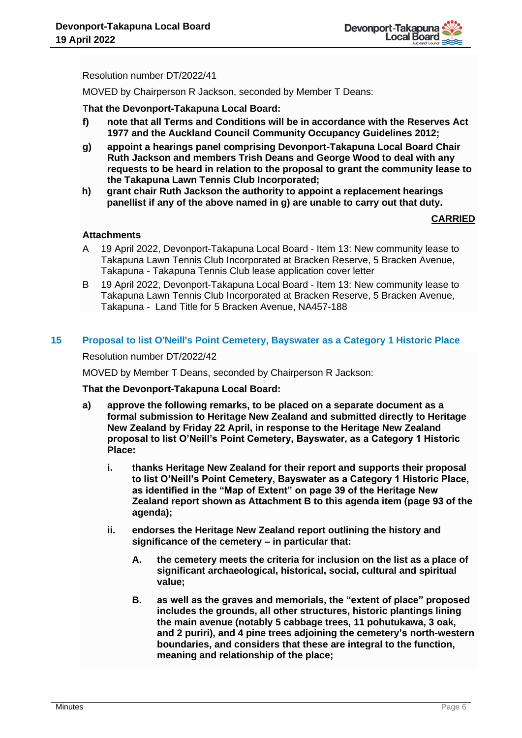

Resolution number DT/2022/41

MOVED by Chairperson R Jackson, seconded by Member T Deans:

T**hat the Devonport-Takapuna Local Board:**

- **f) note that all Terms and Conditions will be in accordance with the Reserves Act 1977 and the Auckland Council Community Occupancy Guidelines 2012;**
- **g) appoint a hearings panel comprising Devonport-Takapuna Local Board Chair Ruth Jackson and members Trish Deans and George Wood to deal with any requests to be heard in relation to the proposal to grant the community lease to the Takapuna Lawn Tennis Club Incorporated;**
- **h) grant chair Ruth Jackson the authority to appoint a replacement hearings panellist if any of the above named in g) are unable to carry out that duty.**

# **CARRIED**

# **Attachments**

- A 19 April 2022, Devonport-Takapuna Local Board Item 13: New community lease to Takapuna Lawn Tennis Club Incorporated at Bracken Reserve, 5 Bracken Avenue, Takapuna - Takapuna Tennis Club lease application cover letter
- B 19 April 2022, Devonport-Takapuna Local Board Item 13: New community lease to Takapuna Lawn Tennis Club Incorporated at Bracken Reserve, 5 Bracken Avenue, Takapuna - Land Title for 5 Bracken Avenue, NA457-188

# **15 Proposal to list O'Neill's Point Cemetery, Bayswater as a Category 1 Historic Place**

Resolution number DT/2022/42

MOVED by Member T Deans, seconded by Chairperson R Jackson:

**That the Devonport-Takapuna Local Board:**

- **a) approve the following remarks, to be placed on a separate document as a formal submission to Heritage New Zealand and submitted directly to Heritage New Zealand by Friday 22 April, in response to the Heritage New Zealand proposal to list O'Neill's Point Cemetery, Bayswater, as a Category 1 Historic Place:**
	- **i. thanks Heritage New Zealand for their report and supports their proposal to list O'Neill's Point Cemetery, Bayswater as a Category 1 Historic Place, as identified in the "Map of Extent" on page 39 of the Heritage New Zealand report shown as Attachment B to this agenda item (page 93 of the agenda);**
	- **ii. endorses the Heritage New Zealand report outlining the history and significance of the cemetery – in particular that:** 
		- **A. the cemetery meets the criteria for inclusion on the list as a place of significant archaeological, historical, social, cultural and spiritual value;**
		- **B. as well as the graves and memorials, the "extent of place" proposed includes the grounds, all other structures, historic plantings lining the main avenue (notably 5 cabbage trees, 11 pohutukawa, 3 oak, and 2 puriri), and 4 pine trees adjoining the cemetery's north-western boundaries, and considers that these are integral to the function, meaning and relationship of the place;**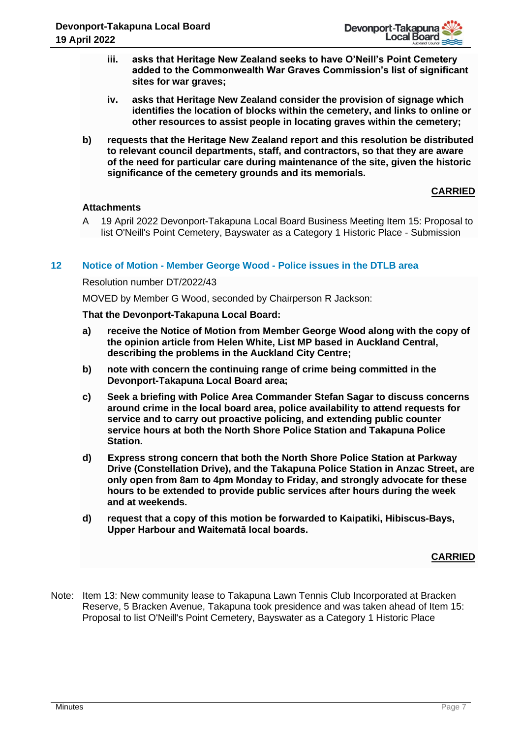

- **iii. asks that Heritage New Zealand seeks to have O'Neill's Point Cemetery added to the Commonwealth War Graves Commission's list of significant sites for war graves;**
- **iv. asks that Heritage New Zealand consider the provision of signage which identifies the location of blocks within the cemetery, and links to online or other resources to assist people in locating graves within the cemetery;**
- **b) requests that the Heritage New Zealand report and this resolution be distributed to relevant council departments, staff, and contractors, so that they are aware of the need for particular care during maintenance of the site, given the historic significance of the cemetery grounds and its memorials.**

# **CARRIED**

# **Attachments**

A 19 April 2022 Devonport-Takapuna Local Board Business Meeting Item 15: Proposal to list O'Neill's Point Cemetery, Bayswater as a Category 1 Historic Place - Submission

# **12 Notice of Motion - Member George Wood - Police issues in the DTLB area**

Resolution number DT/2022/43

MOVED by Member G Wood, seconded by Chairperson R Jackson:

## **That the Devonport-Takapuna Local Board:**

- **a) receive the Notice of Motion from Member George Wood along with the copy of the opinion article from Helen White, List MP based in Auckland Central, describing the problems in the Auckland City Centre;**
- **b) note with concern the continuing range of crime being committed in the Devonport-Takapuna Local Board area;**
- **c) Seek a briefing with Police Area Commander Stefan Sagar to discuss concerns around crime in the local board area, police availability to attend requests for service and to carry out proactive policing, and extending public counter service hours at both the North Shore Police Station and Takapuna Police Station.**
- **d) Express strong concern that both the North Shore Police Station at Parkway Drive (Constellation Drive), and the Takapuna Police Station in Anzac Street, are only open from 8am to 4pm Monday to Friday, and strongly advocate for these hours to be extended to provide public services after hours during the week and at weekends.**
- **d) request that a copy of this motion be forwarded to Kaipatiki, Hibiscus-Bays, Upper Harbour and Waitematā local boards.**

## **CARRIED**

Note: Item 13: New community lease to Takapuna Lawn Tennis Club Incorporated at Bracken Reserve, 5 Bracken Avenue, Takapuna took presidence and was taken ahead of Item 15: Proposal to list O'Neill's Point Cemetery, Bayswater as a Category 1 Historic Place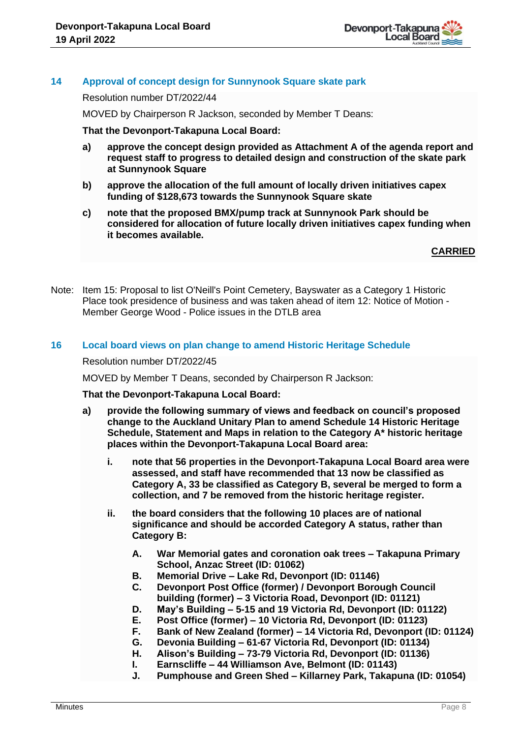

# **14 Approval of concept design for Sunnynook Square skate park**

Resolution number DT/2022/44

MOVED by Chairperson R Jackson, seconded by Member T Deans:

**That the Devonport-Takapuna Local Board:**

- **a) approve the concept design provided as Attachment A of the agenda report and request staff to progress to detailed design and construction of the skate park at Sunnynook Square**
- **b) approve the allocation of the full amount of locally driven initiatives capex funding of \$128,673 towards the Sunnynook Square skate**
- **c) note that the proposed BMX/pump track at Sunnynook Park should be considered for allocation of future locally driven initiatives capex funding when it becomes available.**

**CARRIED**

Note: Item 15: Proposal to list O'Neill's Point Cemetery, Bayswater as a Category 1 Historic Place took presidence of business and was taken ahead of item 12: Notice of Motion - Member George Wood - Police issues in the DTLB area

## **16 Local board views on plan change to amend Historic Heritage Schedule**

Resolution number DT/2022/45

MOVED by Member T Deans, seconded by Chairperson R Jackson:

#### **That the Devonport-Takapuna Local Board:**

- **a) provide the following summary of views and feedback on council's proposed change to the Auckland Unitary Plan to amend Schedule 14 Historic Heritage Schedule, Statement and Maps in relation to the Category A\* historic heritage places within the Devonport-Takapuna Local Board area:**
	- **i. note that 56 properties in the Devonport-Takapuna Local Board area were assessed, and staff have recommended that 13 now be classified as Category A, 33 be classified as Category B, several be merged to form a collection, and 7 be removed from the historic heritage register.**
	- **ii. the board considers that the following 10 places are of national significance and should be accorded Category A status, rather than Category B:**
		- **A. War Memorial gates and coronation oak trees – Takapuna Primary School, Anzac Street (ID: 01062)**
		- **B. Memorial Drive – Lake Rd, Devonport (ID: 01146)**
		- **C. Devonport Post Office (former) / Devonport Borough Council building (former) – 3 Victoria Road, Devonport (ID: 01121)**
		- **D. May's Building – 5-15 and 19 Victoria Rd, Devonport (ID: 01122)**
		- **E. Post Office (former) – 10 Victoria Rd, Devonport (ID: 01123)**
		- **F. Bank of New Zealand (former) – 14 Victoria Rd, Devonport (ID: 01124)**
		- **G. Devonia Building – 61-67 Victoria Rd, Devonport (ID: 01134)**
		- **H. Alison's Building – 73-79 Victoria Rd, Devonport (ID: 01136)**
		- **I. Earnscliffe – 44 Williamson Ave, Belmont (ID: 01143)**
		- **J. Pumphouse and Green Shed – Killarney Park, Takapuna (ID: 01054)**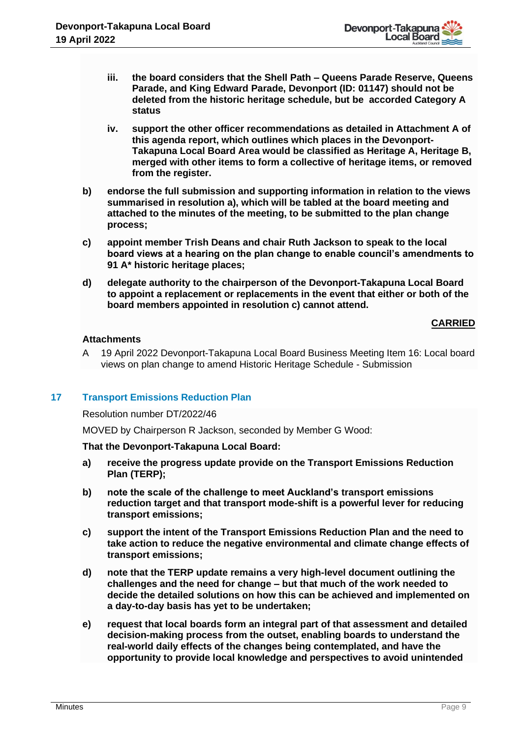- **iii. the board considers that the Shell Path – Queens Parade Reserve, Queens Parade, and King Edward Parade, Devonport (ID: 01147) should not be deleted from the historic heritage schedule, but be accorded Category A status**
- **iv. support the other officer recommendations as detailed in Attachment A of this agenda report, which outlines which places in the Devonport-Takapuna Local Board Area would be classified as Heritage A, Heritage B, merged with other items to form a collective of heritage items, or removed from the register.**
- **b) endorse the full submission and supporting information in relation to the views summarised in resolution a), which will be tabled at the board meeting and attached to the minutes of the meeting, to be submitted to the plan change process;**
- **c) appoint member Trish Deans and chair Ruth Jackson to speak to the local board views at a hearing on the plan change to enable council's amendments to 91 A\* historic heritage places;**
- **d) delegate authority to the chairperson of the Devonport-Takapuna Local Board to appoint a replacement or replacements in the event that either or both of the board members appointed in resolution c) cannot attend.**

# **CARRIED**

# **Attachments**

A 19 April 2022 Devonport-Takapuna Local Board Business Meeting Item 16: Local board views on plan change to amend Historic Heritage Schedule - Submission

# **17 Transport Emissions Reduction Plan**

Resolution number DT/2022/46

MOVED by Chairperson R Jackson, seconded by Member G Wood:

**That the Devonport-Takapuna Local Board:**

- **a) receive the progress update provide on the Transport Emissions Reduction Plan (TERP);**
- **b) note the scale of the challenge to meet Auckland's transport emissions reduction target and that transport mode-shift is a powerful lever for reducing transport emissions;**
- **c) support the intent of the Transport Emissions Reduction Plan and the need to take action to reduce the negative environmental and climate change effects of transport emissions;**
- **d) note that the TERP update remains a very high-level document outlining the challenges and the need for change – but that much of the work needed to decide the detailed solutions on how this can be achieved and implemented on a day-to-day basis has yet to be undertaken;**
- **e) request that local boards form an integral part of that assessment and detailed decision-making process from the outset, enabling boards to understand the real-world daily effects of the changes being contemplated, and have the opportunity to provide local knowledge and perspectives to avoid unintended**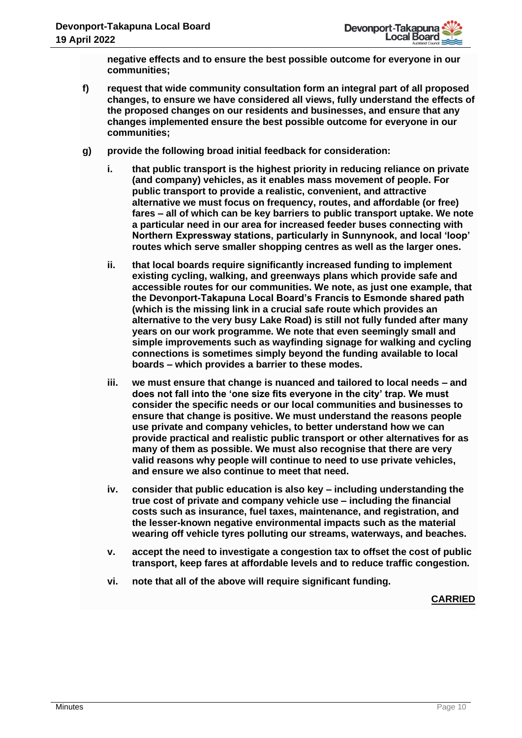**negative effects and to ensure the best possible outcome for everyone in our communities;**

- **f) request that wide community consultation form an integral part of all proposed changes, to ensure we have considered all views, fully understand the effects of the proposed changes on our residents and businesses, and ensure that any changes implemented ensure the best possible outcome for everyone in our communities;**
- **g) provide the following broad initial feedback for consideration:**
	- **i. that public transport is the highest priority in reducing reliance on private (and company) vehicles, as it enables mass movement of people. For public transport to provide a realistic, convenient, and attractive alternative we must focus on frequency, routes, and affordable (or free) fares – all of which can be key barriers to public transport uptake. We note a particular need in our area for increased feeder buses connecting with Northern Expressway stations, particularly in Sunnynook, and local 'loop' routes which serve smaller shopping centres as well as the larger ones.**
	- **ii. that local boards require significantly increased funding to implement existing cycling, walking, and greenways plans which provide safe and accessible routes for our communities. We note, as just one example, that the Devonport-Takapuna Local Board's Francis to Esmonde shared path (which is the missing link in a crucial safe route which provides an alternative to the very busy Lake Road) is still not fully funded after many years on our work programme. We note that even seemingly small and simple improvements such as wayfinding signage for walking and cycling connections is sometimes simply beyond the funding available to local boards – which provides a barrier to these modes.**
	- **iii. we must ensure that change is nuanced and tailored to local needs – and does not fall into the 'one size fits everyone in the city' trap. We must consider the specific needs or our local communities and businesses to ensure that change is positive. We must understand the reasons people use private and company vehicles, to better understand how we can provide practical and realistic public transport or other alternatives for as many of them as possible. We must also recognise that there are very valid reasons why people will continue to need to use private vehicles, and ensure we also continue to meet that need.**
	- **iv. consider that public education is also key – including understanding the true cost of private and company vehicle use – including the financial costs such as insurance, fuel taxes, maintenance, and registration, and the lesser-known negative environmental impacts such as the material wearing off vehicle tyres polluting our streams, waterways, and beaches.**
	- **v. accept the need to investigate a congestion tax to offset the cost of public transport, keep fares at affordable levels and to reduce traffic congestion.**
	- **vi. note that all of the above will require significant funding.**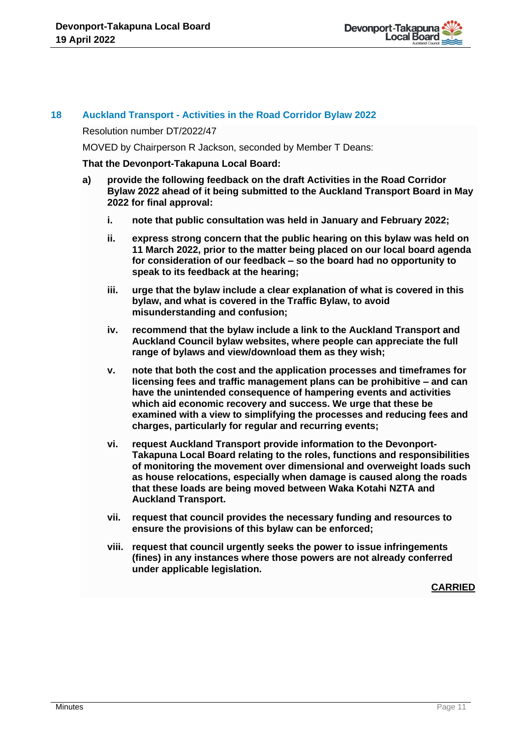

# **18 Auckland Transport - Activities in the Road Corridor Bylaw 2022**

#### Resolution number DT/2022/47

MOVED by Chairperson R Jackson, seconded by Member T Deans:

#### **That the Devonport-Takapuna Local Board:**

- **a) provide the following feedback on the draft Activities in the Road Corridor Bylaw 2022 ahead of it being submitted to the Auckland Transport Board in May 2022 for final approval:**
	- **i. note that public consultation was held in January and February 2022;**
	- **ii. express strong concern that the public hearing on this bylaw was held on 11 March 2022, prior to the matter being placed on our local board agenda for consideration of our feedback – so the board had no opportunity to speak to its feedback at the hearing;**
	- **iii. urge that the bylaw include a clear explanation of what is covered in this bylaw, and what is covered in the Traffic Bylaw, to avoid misunderstanding and confusion;**
	- **iv. recommend that the bylaw include a link to the Auckland Transport and Auckland Council bylaw websites, where people can appreciate the full range of bylaws and view/download them as they wish;**
	- **v. note that both the cost and the application processes and timeframes for licensing fees and traffic management plans can be prohibitive – and can have the unintended consequence of hampering events and activities which aid economic recovery and success. We urge that these be examined with a view to simplifying the processes and reducing fees and charges, particularly for regular and recurring events;**
	- **vi. request Auckland Transport provide information to the Devonport-Takapuna Local Board relating to the roles, functions and responsibilities of monitoring the movement over dimensional and overweight loads such as house relocations, especially when damage is caused along the roads that these loads are being moved between Waka Kotahi NZTA and Auckland Transport.**
	- **vii. request that council provides the necessary funding and resources to ensure the provisions of this bylaw can be enforced;**
	- **viii. request that council urgently seeks the power to issue infringements (fines) in any instances where those powers are not already conferred under applicable legislation.**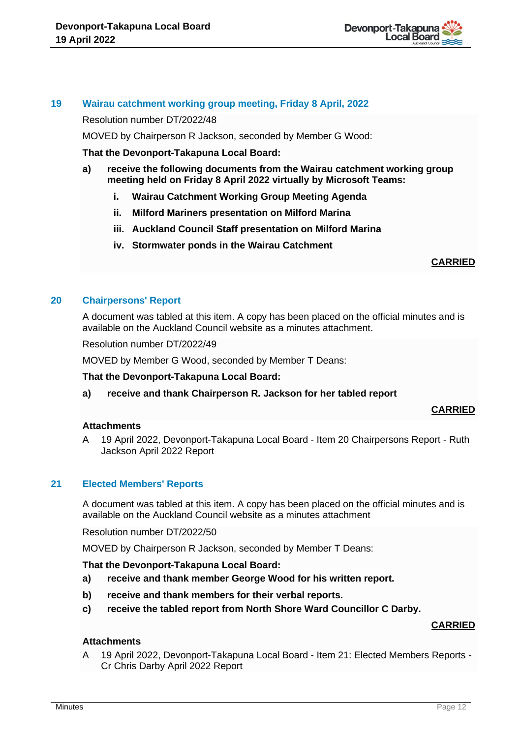

# **19 Wairau catchment working group meeting, Friday 8 April, 2022**

Resolution number DT/2022/48

MOVED by Chairperson R Jackson, seconded by Member G Wood:

**That the Devonport-Takapuna Local Board:**

- **a) receive the following documents from the Wairau catchment working group meeting held on Friday 8 April 2022 virtually by Microsoft Teams:** 
	- **i. Wairau Catchment Working Group Meeting Agenda**
	- **ii. Milford Mariners presentation on Milford Marina**
	- **iii. Auckland Council Staff presentation on Milford Marina**
	- **iv. Stormwater ponds in the Wairau Catchment**

## **CARRIED**

# **20 Chairpersons' Report**

A document was tabled at this item. A copy has been placed on the official minutes and is available on the Auckland Council website as a minutes attachment.

Resolution number DT/2022/49

MOVED by Member G Wood, seconded by Member T Deans:

## **That the Devonport-Takapuna Local Board:**

**a) receive and thank Chairperson R. Jackson for her tabled report**

## **CARRIED**

# **Attachments**

A 19 April 2022, Devonport-Takapuna Local Board - Item 20 Chairpersons Report - Ruth Jackson April 2022 Report

## **21 Elected Members' Reports**

A document was tabled at this item. A copy has been placed on the official minutes and is available on the Auckland Council website as a minutes attachment

Resolution number DT/2022/50

MOVED by Chairperson R Jackson, seconded by Member T Deans:

## **That the Devonport-Takapuna Local Board:**

- **a) receive and thank member George Wood for his written report.**
- **b) receive and thank members for their verbal reports.**
- **c) receive the tabled report from North Shore Ward Councillor C Darby.**

## **CARRIED**

## **Attachments**

A 19 April 2022, Devonport-Takapuna Local Board - Item 21: Elected Members Reports - Cr Chris Darby April 2022 Report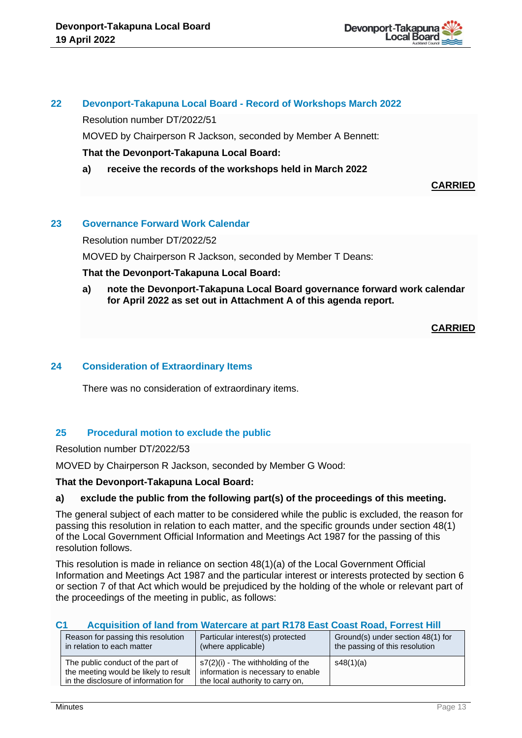# **22 Devonport-Takapuna Local Board - Record of Workshops March 2022**

Resolution number DT/2022/51

MOVED by Chairperson R Jackson, seconded by Member A Bennett:

# **That the Devonport-Takapuna Local Board:**

**a) receive the records of the workshops held in March 2022**

**CARRIED**

# **23 Governance Forward Work Calendar**

Resolution number DT/2022/52

MOVED by Chairperson R Jackson, seconded by Member T Deans:

# **That the Devonport-Takapuna Local Board:**

**a) note the Devonport-Takapuna Local Board governance forward work calendar for April 2022 as set out in Attachment A of this agenda report.**

# **CARRIED**

# **24 Consideration of Extraordinary Items**

There was no consideration of extraordinary items.

# **25 Procedural motion to exclude the public**

Resolution number DT/2022/53

MOVED by Chairperson R Jackson, seconded by Member G Wood:

## **That the Devonport-Takapuna Local Board:**

# **a) exclude the public from the following part(s) of the proceedings of this meeting.**

The general subject of each matter to be considered while the public is excluded, the reason for passing this resolution in relation to each matter, and the specific grounds under section 48(1) of the Local Government Official Information and Meetings Act 1987 for the passing of this resolution follows.

This resolution is made in reliance on section 48(1)(a) of the Local Government Official Information and Meetings Act 1987 and the particular interest or interests protected by section 6 or section 7 of that Act which would be prejudiced by the holding of the whole or relevant part of the proceedings of the meeting in public, as follows:

# **C1 Acquisition of land from Watercare at part R178 East Coast Road, Forrest Hill**

| Reason for passing this resolution                                                                                 | Particular interest(s) protected                                                                              | Ground(s) under section 48(1) for |
|--------------------------------------------------------------------------------------------------------------------|---------------------------------------------------------------------------------------------------------------|-----------------------------------|
| in relation to each matter                                                                                         | (where applicable)                                                                                            | the passing of this resolution    |
| The public conduct of the part of<br>the meeting would be likely to result<br>in the disclosure of information for | $s7(2)(i)$ - The withholding of the<br>information is necessary to enable<br>the local authority to carry on, | s48(1)(a)                         |